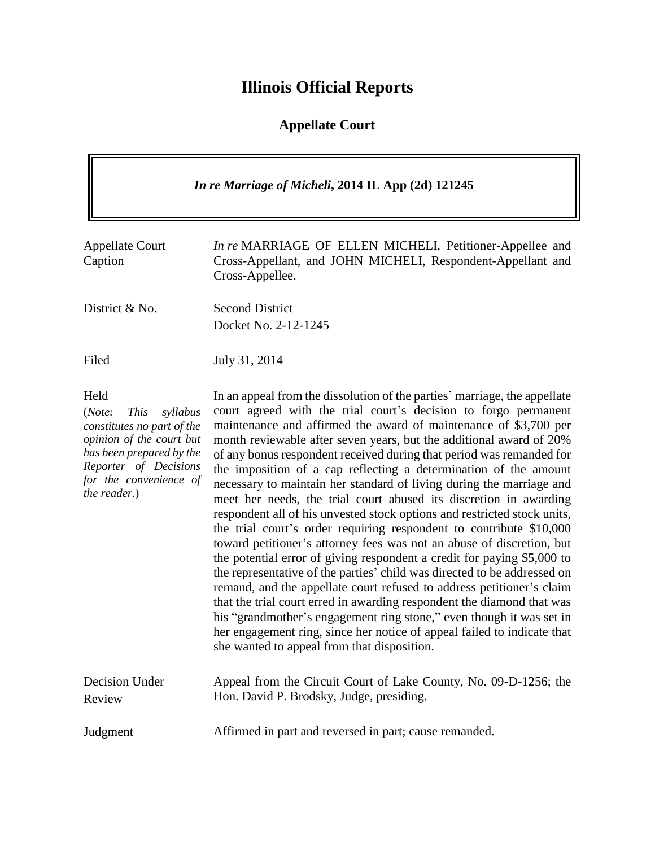# **Illinois Official Reports**

## **Appellate Court**

| In re Marriage of Micheli, 2014 IL App (2d) 121245                                                                                                                                                 |                                                                                                                                                                                                                                                                                                                                                                                                                                                                                                                                                                                                                                                                                                                                                                                                                                                                                                                                                                                                                                                                                                                                                                                                                                                                                                                          |  |
|----------------------------------------------------------------------------------------------------------------------------------------------------------------------------------------------------|--------------------------------------------------------------------------------------------------------------------------------------------------------------------------------------------------------------------------------------------------------------------------------------------------------------------------------------------------------------------------------------------------------------------------------------------------------------------------------------------------------------------------------------------------------------------------------------------------------------------------------------------------------------------------------------------------------------------------------------------------------------------------------------------------------------------------------------------------------------------------------------------------------------------------------------------------------------------------------------------------------------------------------------------------------------------------------------------------------------------------------------------------------------------------------------------------------------------------------------------------------------------------------------------------------------------------|--|
| <b>Appellate Court</b><br>Caption                                                                                                                                                                  | In re MARRIAGE OF ELLEN MICHELI, Petitioner-Appellee and<br>Cross-Appellant, and JOHN MICHELI, Respondent-Appellant and<br>Cross-Appellee.                                                                                                                                                                                                                                                                                                                                                                                                                                                                                                                                                                                                                                                                                                                                                                                                                                                                                                                                                                                                                                                                                                                                                                               |  |
| District & No.                                                                                                                                                                                     | <b>Second District</b><br>Docket No. 2-12-1245                                                                                                                                                                                                                                                                                                                                                                                                                                                                                                                                                                                                                                                                                                                                                                                                                                                                                                                                                                                                                                                                                                                                                                                                                                                                           |  |
| Filed                                                                                                                                                                                              | July 31, 2014                                                                                                                                                                                                                                                                                                                                                                                                                                                                                                                                                                                                                                                                                                                                                                                                                                                                                                                                                                                                                                                                                                                                                                                                                                                                                                            |  |
| Held<br>(Note:<br><b>This</b><br>syllabus<br>constitutes no part of the<br>opinion of the court but<br>has been prepared by the<br>Reporter of Decisions<br>for the convenience of<br>the reader.) | In an appeal from the dissolution of the parties' marriage, the appellate<br>court agreed with the trial court's decision to forgo permanent<br>maintenance and affirmed the award of maintenance of \$3,700 per<br>month reviewable after seven years, but the additional award of 20%<br>of any bonus respondent received during that period was remanded for<br>the imposition of a cap reflecting a determination of the amount<br>necessary to maintain her standard of living during the marriage and<br>meet her needs, the trial court abused its discretion in awarding<br>respondent all of his unvested stock options and restricted stock units,<br>the trial court's order requiring respondent to contribute \$10,000<br>toward petitioner's attorney fees was not an abuse of discretion, but<br>the potential error of giving respondent a credit for paying \$5,000 to<br>the representative of the parties' child was directed to be addressed on<br>remand, and the appellate court refused to address petitioner's claim<br>that the trial court erred in awarding respondent the diamond that was<br>his "grandmother's engagement ring stone," even though it was set in<br>her engagement ring, since her notice of appeal failed to indicate that<br>she wanted to appeal from that disposition. |  |
| Decision Under<br>Review                                                                                                                                                                           | Appeal from the Circuit Court of Lake County, No. 09-D-1256; the<br>Hon. David P. Brodsky, Judge, presiding.                                                                                                                                                                                                                                                                                                                                                                                                                                                                                                                                                                                                                                                                                                                                                                                                                                                                                                                                                                                                                                                                                                                                                                                                             |  |
| Judgment                                                                                                                                                                                           | Affirmed in part and reversed in part; cause remanded.                                                                                                                                                                                                                                                                                                                                                                                                                                                                                                                                                                                                                                                                                                                                                                                                                                                                                                                                                                                                                                                                                                                                                                                                                                                                   |  |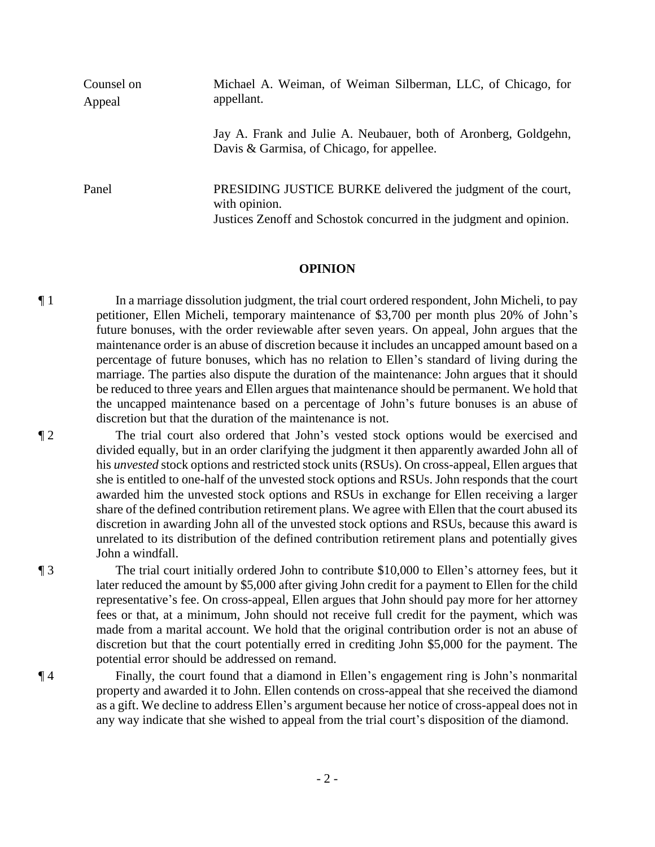| Counsel on<br>Appeal | Michael A. Weiman, of Weiman Silberman, LLC, of Chicago, for<br>appellant.                                                                           |  |
|----------------------|------------------------------------------------------------------------------------------------------------------------------------------------------|--|
|                      | Jay A. Frank and Julie A. Neubauer, both of Aronberg, Goldgehn,<br>Davis & Garmisa, of Chicago, for appellee.                                        |  |
| Panel                | PRESIDING JUSTICE BURKE delivered the judgment of the court,<br>with opinion.<br>Justices Zenoff and Schostok concurred in the judgment and opinion. |  |

#### **OPINION**

¶ 1 In a marriage dissolution judgment, the trial court ordered respondent, John Micheli, to pay petitioner, Ellen Micheli, temporary maintenance of \$3,700 per month plus 20% of John's future bonuses, with the order reviewable after seven years. On appeal, John argues that the maintenance order is an abuse of discretion because it includes an uncapped amount based on a percentage of future bonuses, which has no relation to Ellen's standard of living during the marriage. The parties also dispute the duration of the maintenance: John argues that it should be reduced to three years and Ellen argues that maintenance should be permanent. We hold that the uncapped maintenance based on a percentage of John's future bonuses is an abuse of discretion but that the duration of the maintenance is not.

¶ 2 The trial court also ordered that John's vested stock options would be exercised and divided equally, but in an order clarifying the judgment it then apparently awarded John all of his *unvested* stock options and restricted stock units (RSUs). On cross-appeal, Ellen argues that she is entitled to one-half of the unvested stock options and RSUs. John responds that the court awarded him the unvested stock options and RSUs in exchange for Ellen receiving a larger share of the defined contribution retirement plans. We agree with Ellen that the court abused its discretion in awarding John all of the unvested stock options and RSUs, because this award is unrelated to its distribution of the defined contribution retirement plans and potentially gives John a windfall.

¶ 3 The trial court initially ordered John to contribute \$10,000 to Ellen's attorney fees, but it later reduced the amount by \$5,000 after giving John credit for a payment to Ellen for the child representative's fee. On cross-appeal, Ellen argues that John should pay more for her attorney fees or that, at a minimum, John should not receive full credit for the payment, which was made from a marital account. We hold that the original contribution order is not an abuse of discretion but that the court potentially erred in crediting John \$5,000 for the payment. The potential error should be addressed on remand.

¶ 4 Finally, the court found that a diamond in Ellen's engagement ring is John's nonmarital property and awarded it to John. Ellen contends on cross-appeal that she received the diamond as a gift. We decline to address Ellen's argument because her notice of cross-appeal does not in any way indicate that she wished to appeal from the trial court's disposition of the diamond.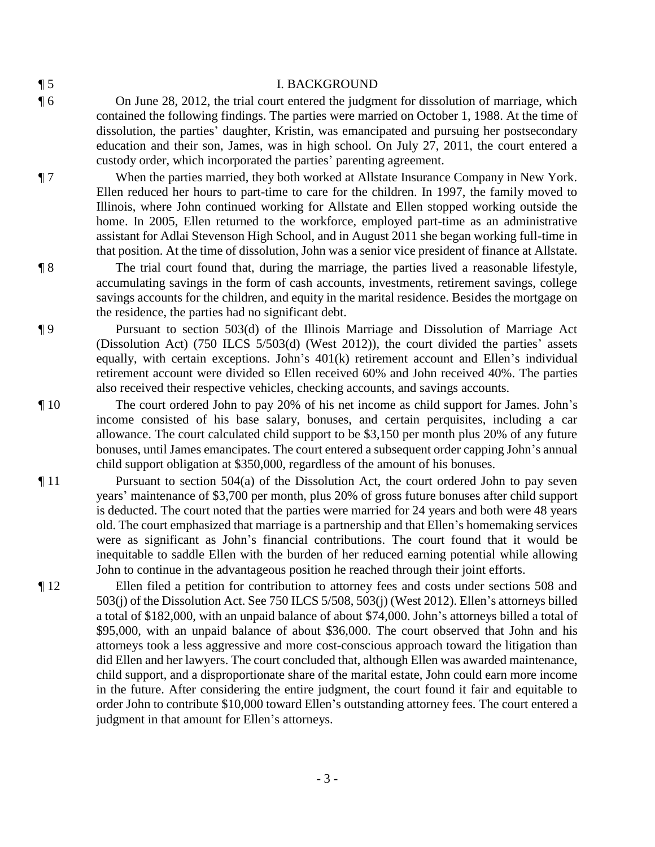| ×<br>٦ |
|--------|
|        |

#### ¶ 5 I. BACKGROUND

¶ 6 On June 28, 2012, the trial court entered the judgment for dissolution of marriage, which contained the following findings. The parties were married on October 1, 1988. At the time of dissolution, the parties' daughter, Kristin, was emancipated and pursuing her postsecondary education and their son, James, was in high school. On July 27, 2011, the court entered a custody order, which incorporated the parties' parenting agreement.

¶ 7 When the parties married, they both worked at Allstate Insurance Company in New York. Ellen reduced her hours to part-time to care for the children. In 1997, the family moved to Illinois, where John continued working for Allstate and Ellen stopped working outside the home. In 2005, Ellen returned to the workforce, employed part-time as an administrative assistant for Adlai Stevenson High School, and in August 2011 she began working full-time in that position. At the time of dissolution, John was a senior vice president of finance at Allstate.

¶ 8 The trial court found that, during the marriage, the parties lived a reasonable lifestyle, accumulating savings in the form of cash accounts, investments, retirement savings, college savings accounts for the children, and equity in the marital residence. Besides the mortgage on the residence, the parties had no significant debt.

¶ 9 Pursuant to section 503(d) of the Illinois Marriage and Dissolution of Marriage Act (Dissolution Act) (750 ILCS 5/503(d) (West 2012)), the court divided the parties' assets equally, with certain exceptions. John's 401(k) retirement account and Ellen's individual retirement account were divided so Ellen received 60% and John received 40%. The parties also received their respective vehicles, checking accounts, and savings accounts.

¶ 10 The court ordered John to pay 20% of his net income as child support for James. John's income consisted of his base salary, bonuses, and certain perquisites, including a car allowance. The court calculated child support to be \$3,150 per month plus 20% of any future bonuses, until James emancipates. The court entered a subsequent order capping John's annual child support obligation at \$350,000, regardless of the amount of his bonuses.

¶ 11 Pursuant to section 504(a) of the Dissolution Act, the court ordered John to pay seven years' maintenance of \$3,700 per month, plus 20% of gross future bonuses after child support is deducted. The court noted that the parties were married for 24 years and both were 48 years old. The court emphasized that marriage is a partnership and that Ellen's homemaking services were as significant as John's financial contributions. The court found that it would be inequitable to saddle Ellen with the burden of her reduced earning potential while allowing John to continue in the advantageous position he reached through their joint efforts.

¶ 12 Ellen filed a petition for contribution to attorney fees and costs under sections 508 and 503(j) of the Dissolution Act. See 750 ILCS 5/508, 503(j) (West 2012). Ellen's attorneys billed a total of \$182,000, with an unpaid balance of about \$74,000. John's attorneys billed a total of \$95,000, with an unpaid balance of about \$36,000. The court observed that John and his attorneys took a less aggressive and more cost-conscious approach toward the litigation than did Ellen and her lawyers. The court concluded that, although Ellen was awarded maintenance, child support, and a disproportionate share of the marital estate, John could earn more income in the future. After considering the entire judgment, the court found it fair and equitable to order John to contribute \$10,000 toward Ellen's outstanding attorney fees. The court entered a judgment in that amount for Ellen's attorneys.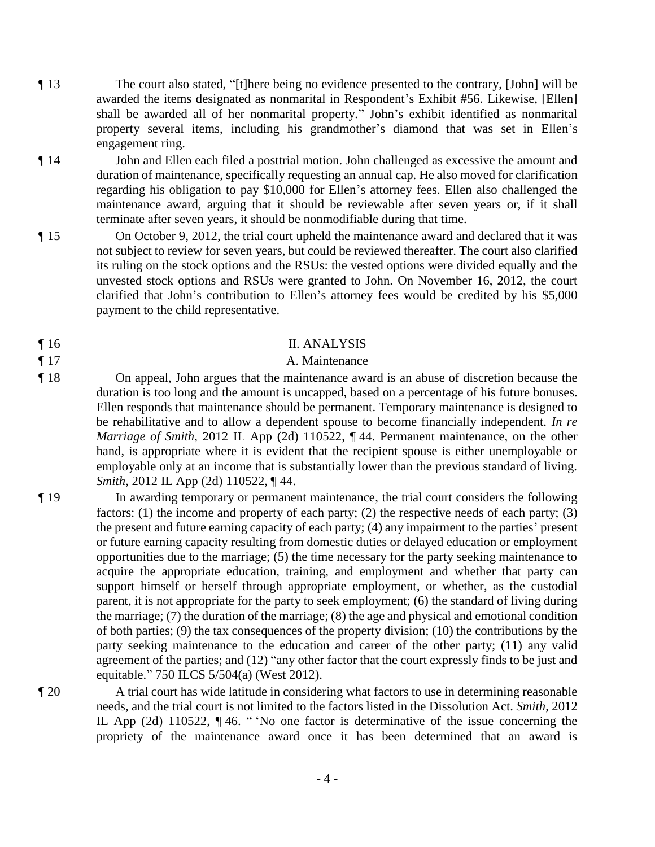- ¶ 13 The court also stated, "[t]here being no evidence presented to the contrary, [John] will be awarded the items designated as nonmarital in Respondent's Exhibit #56. Likewise, [Ellen] shall be awarded all of her nonmarital property." John's exhibit identified as nonmarital property several items, including his grandmother's diamond that was set in Ellen's engagement ring.
- ¶ 14 John and Ellen each filed a posttrial motion. John challenged as excessive the amount and duration of maintenance, specifically requesting an annual cap. He also moved for clarification regarding his obligation to pay \$10,000 for Ellen's attorney fees. Ellen also challenged the maintenance award, arguing that it should be reviewable after seven years or, if it shall terminate after seven years, it should be nonmodifiable during that time.
- ¶ 15 On October 9, 2012, the trial court upheld the maintenance award and declared that it was not subject to review for seven years, but could be reviewed thereafter. The court also clarified its ruling on the stock options and the RSUs: the vested options were divided equally and the unvested stock options and RSUs were granted to John. On November 16, 2012, the court clarified that John's contribution to Ellen's attorney fees would be credited by his \$5,000 payment to the child representative.
- 

#### ¶ 16 II. ANALYSIS

### ¶ 17 A. Maintenance

- ¶ 18 On appeal, John argues that the maintenance award is an abuse of discretion because the duration is too long and the amount is uncapped, based on a percentage of his future bonuses. Ellen responds that maintenance should be permanent. Temporary maintenance is designed to be rehabilitative and to allow a dependent spouse to become financially independent. *In re Marriage of Smith*, 2012 IL App (2d) 110522, ¶ 44. Permanent maintenance, on the other hand, is appropriate where it is evident that the recipient spouse is either unemployable or employable only at an income that is substantially lower than the previous standard of living. *Smith*, 2012 IL App (2d) 110522, ¶ 44.
- ¶ 19 In awarding temporary or permanent maintenance, the trial court considers the following factors: (1) the income and property of each party; (2) the respective needs of each party; (3) the present and future earning capacity of each party; (4) any impairment to the parties' present or future earning capacity resulting from domestic duties or delayed education or employment opportunities due to the marriage; (5) the time necessary for the party seeking maintenance to acquire the appropriate education, training, and employment and whether that party can support himself or herself through appropriate employment, or whether, as the custodial parent, it is not appropriate for the party to seek employment; (6) the standard of living during the marriage; (7) the duration of the marriage; (8) the age and physical and emotional condition of both parties; (9) the tax consequences of the property division; (10) the contributions by the party seeking maintenance to the education and career of the other party; (11) any valid agreement of the parties; and (12) "any other factor that the court expressly finds to be just and equitable." 750 ILCS 5/504(a) (West 2012).
- ¶ 20 A trial court has wide latitude in considering what factors to use in determining reasonable needs, and the trial court is not limited to the factors listed in the Dissolution Act. *Smith*, 2012 IL App (2d) 110522, ¶ 46. " 'No one factor is determinative of the issue concerning the propriety of the maintenance award once it has been determined that an award is
	- 4 -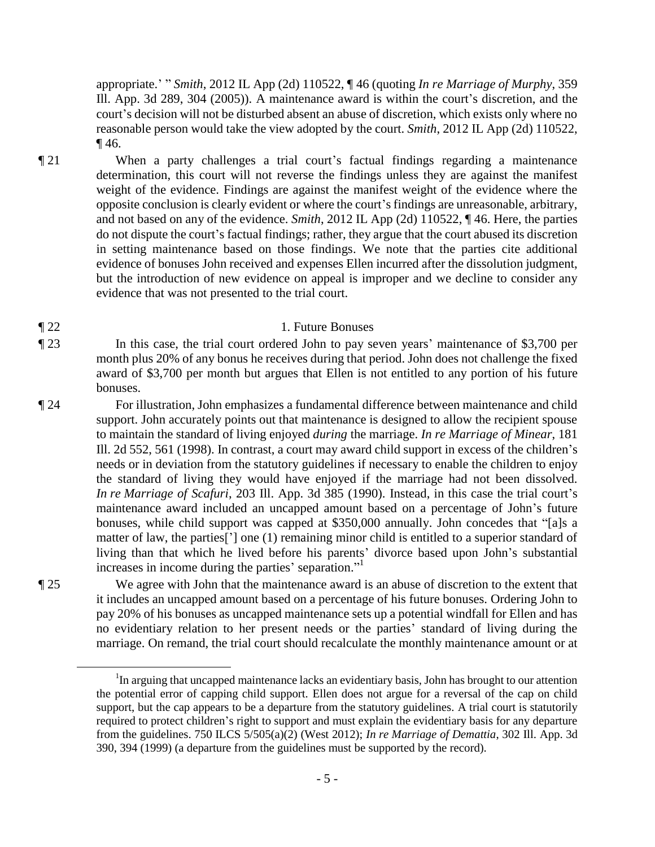appropriate.' " *Smith*, 2012 IL App (2d) 110522, ¶ 46 (quoting *In re Marriage of Murphy*, 359 Ill. App. 3d 289, 304 (2005)). A maintenance award is within the court's discretion, and the court's decision will not be disturbed absent an abuse of discretion, which exists only where no reasonable person would take the view adopted by the court. *Smith*, 2012 IL App (2d) 110522, ¶ 46.

¶ 21 When a party challenges a trial court's factual findings regarding a maintenance determination, this court will not reverse the findings unless they are against the manifest weight of the evidence. Findings are against the manifest weight of the evidence where the opposite conclusion is clearly evident or where the court's findings are unreasonable, arbitrary, and not based on any of the evidence. *Smith*, 2012 IL App (2d) 110522, ¶ 46. Here, the parties do not dispute the court's factual findings; rather, they argue that the court abused its discretion in setting maintenance based on those findings. We note that the parties cite additional evidence of bonuses John received and expenses Ellen incurred after the dissolution judgment, but the introduction of new evidence on appeal is improper and we decline to consider any evidence that was not presented to the trial court.

#### ¶ 22 1. Future Bonuses

¶ 23 In this case, the trial court ordered John to pay seven years' maintenance of \$3,700 per month plus 20% of any bonus he receives during that period. John does not challenge the fixed award of \$3,700 per month but argues that Ellen is not entitled to any portion of his future bonuses.

¶ 24 For illustration, John emphasizes a fundamental difference between maintenance and child support. John accurately points out that maintenance is designed to allow the recipient spouse to maintain the standard of living enjoyed *during* the marriage. *In re Marriage of Minear*, 181 Ill. 2d 552, 561 (1998). In contrast, a court may award child support in excess of the children's needs or in deviation from the statutory guidelines if necessary to enable the children to enjoy the standard of living they would have enjoyed if the marriage had not been dissolved. *In re Marriage of Scafuri*, 203 Ill. App. 3d 385 (1990). Instead, in this case the trial court's maintenance award included an uncapped amount based on a percentage of John's future bonuses, while child support was capped at \$350,000 annually. John concedes that "[a]s a matter of law, the parties['] one (1) remaining minor child is entitled to a superior standard of living than that which he lived before his parents' divorce based upon John's substantial increases in income during the parties' separation." 1

¶ 25 We agree with John that the maintenance award is an abuse of discretion to the extent that it includes an uncapped amount based on a percentage of his future bonuses. Ordering John to pay 20% of his bonuses as uncapped maintenance sets up a potential windfall for Ellen and has no evidentiary relation to her present needs or the parties' standard of living during the marriage. On remand, the trial court should recalculate the monthly maintenance amount or at

 $\overline{a}$ 

<sup>&</sup>lt;sup>1</sup>In arguing that uncapped maintenance lacks an evidentiary basis, John has brought to our attention the potential error of capping child support. Ellen does not argue for a reversal of the cap on child support, but the cap appears to be a departure from the statutory guidelines. A trial court is statutorily required to protect children's right to support and must explain the evidentiary basis for any departure from the guidelines. 750 ILCS 5/505(a)(2) (West 2012); *In re Marriage of Demattia*, 302 Ill. App. 3d 390, 394 (1999) (a departure from the guidelines must be supported by the record).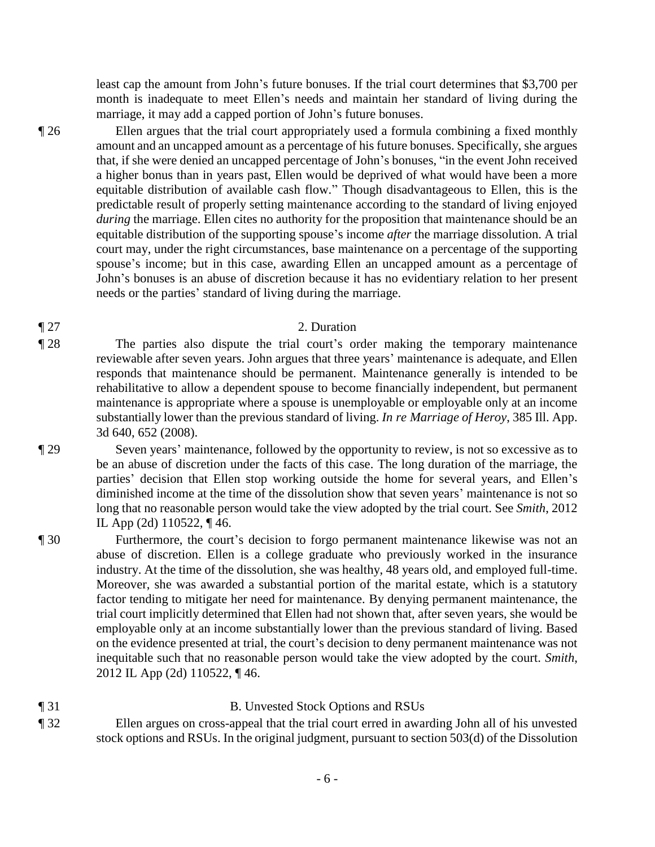least cap the amount from John's future bonuses. If the trial court determines that \$3,700 per month is inadequate to meet Ellen's needs and maintain her standard of living during the marriage, it may add a capped portion of John's future bonuses.

¶ 26 Ellen argues that the trial court appropriately used a formula combining a fixed monthly amount and an uncapped amount as a percentage of his future bonuses. Specifically, she argues that, if she were denied an uncapped percentage of John's bonuses, "in the event John received a higher bonus than in years past, Ellen would be deprived of what would have been a more equitable distribution of available cash flow." Though disadvantageous to Ellen, this is the predictable result of properly setting maintenance according to the standard of living enjoyed *during* the marriage. Ellen cites no authority for the proposition that maintenance should be an equitable distribution of the supporting spouse's income *after* the marriage dissolution. A trial court may, under the right circumstances, base maintenance on a percentage of the supporting spouse's income; but in this case, awarding Ellen an uncapped amount as a percentage of John's bonuses is an abuse of discretion because it has no evidentiary relation to her present needs or the parties' standard of living during the marriage.

#### ¶ 27 2. Duration

- ¶ 28 The parties also dispute the trial court's order making the temporary maintenance reviewable after seven years. John argues that three years' maintenance is adequate, and Ellen responds that maintenance should be permanent. Maintenance generally is intended to be rehabilitative to allow a dependent spouse to become financially independent, but permanent maintenance is appropriate where a spouse is unemployable or employable only at an income substantially lower than the previous standard of living. *In re Marriage of Heroy*, 385 Ill. App. 3d 640, 652 (2008).
- ¶ 29 Seven years' maintenance, followed by the opportunity to review, is not so excessive as to be an abuse of discretion under the facts of this case. The long duration of the marriage, the parties' decision that Ellen stop working outside the home for several years, and Ellen's diminished income at the time of the dissolution show that seven years' maintenance is not so long that no reasonable person would take the view adopted by the trial court. See *Smith*, 2012 IL App (2d) 110522, ¶ 46.
- ¶ 30 Furthermore, the court's decision to forgo permanent maintenance likewise was not an abuse of discretion. Ellen is a college graduate who previously worked in the insurance industry. At the time of the dissolution, she was healthy, 48 years old, and employed full-time. Moreover, she was awarded a substantial portion of the marital estate, which is a statutory factor tending to mitigate her need for maintenance. By denying permanent maintenance, the trial court implicitly determined that Ellen had not shown that, after seven years, she would be employable only at an income substantially lower than the previous standard of living. Based on the evidence presented at trial, the court's decision to deny permanent maintenance was not inequitable such that no reasonable person would take the view adopted by the court. *Smith*, 2012 IL App (2d) 110522, ¶ 46.
- ¶ 31 B. Unvested Stock Options and RSUs ¶ 32 Ellen argues on cross-appeal that the trial court erred in awarding John all of his unvested stock options and RSUs. In the original judgment, pursuant to section 503(d) of the Dissolution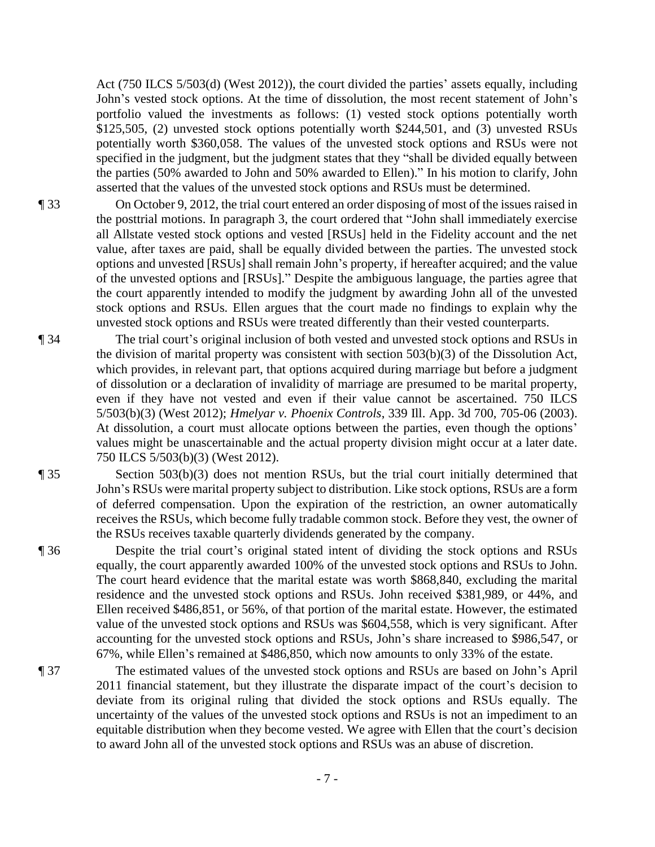Act (750 ILCS 5/503(d) (West 2012)), the court divided the parties' assets equally, including John's vested stock options. At the time of dissolution, the most recent statement of John's portfolio valued the investments as follows: (1) vested stock options potentially worth \$125,505, (2) unvested stock options potentially worth \$244,501, and (3) unvested RSUs potentially worth \$360,058. The values of the unvested stock options and RSUs were not specified in the judgment, but the judgment states that they "shall be divided equally between the parties (50% awarded to John and 50% awarded to Ellen)." In his motion to clarify, John asserted that the values of the unvested stock options and RSUs must be determined.

¶ 33 On October 9, 2012, the trial court entered an order disposing of most of the issues raised in the posttrial motions. In paragraph 3, the court ordered that "John shall immediately exercise all Allstate vested stock options and vested [RSUs] held in the Fidelity account and the net value, after taxes are paid, shall be equally divided between the parties. The unvested stock options and unvested [RSUs] shall remain John's property, if hereafter acquired; and the value of the unvested options and [RSUs]." Despite the ambiguous language, the parties agree that the court apparently intended to modify the judgment by awarding John all of the unvested stock options and RSUs. Ellen argues that the court made no findings to explain why the unvested stock options and RSUs were treated differently than their vested counterparts.

¶ 34 The trial court's original inclusion of both vested and unvested stock options and RSUs in the division of marital property was consistent with section 503(b)(3) of the Dissolution Act, which provides, in relevant part, that options acquired during marriage but before a judgment of dissolution or a declaration of invalidity of marriage are presumed to be marital property, even if they have not vested and even if their value cannot be ascertained. 750 ILCS 5/503(b)(3) (West 2012); *Hmelyar v. Phoenix Controls*, 339 Ill. App. 3d 700, 705-06 (2003). At dissolution, a court must allocate options between the parties, even though the options' values might be unascertainable and the actual property division might occur at a later date. 750 ILCS 5/503(b)(3) (West 2012).

¶ 35 Section 503(b)(3) does not mention RSUs, but the trial court initially determined that John's RSUs were marital property subject to distribution. Like stock options, RSUs are a form of deferred compensation. Upon the expiration of the restriction, an owner automatically receives the RSUs, which become fully tradable common stock. Before they vest, the owner of the RSUs receives taxable quarterly dividends generated by the company.

¶ 36 Despite the trial court's original stated intent of dividing the stock options and RSUs equally, the court apparently awarded 100% of the unvested stock options and RSUs to John. The court heard evidence that the marital estate was worth \$868,840, excluding the marital residence and the unvested stock options and RSUs. John received \$381,989, or 44%, and Ellen received \$486,851, or 56%, of that portion of the marital estate. However, the estimated value of the unvested stock options and RSUs was \$604,558, which is very significant. After accounting for the unvested stock options and RSUs, John's share increased to \$986,547, or 67%, while Ellen's remained at \$486,850, which now amounts to only 33% of the estate.

¶ 37 The estimated values of the unvested stock options and RSUs are based on John's April 2011 financial statement, but they illustrate the disparate impact of the court's decision to deviate from its original ruling that divided the stock options and RSUs equally. The uncertainty of the values of the unvested stock options and RSUs is not an impediment to an equitable distribution when they become vested. We agree with Ellen that the court's decision to award John all of the unvested stock options and RSUs was an abuse of discretion.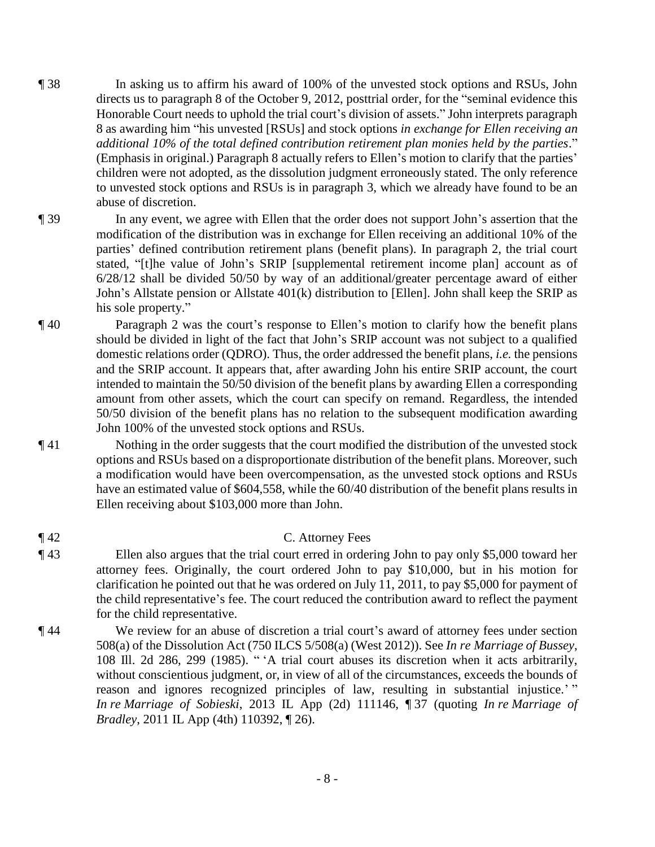- ¶ 38 In asking us to affirm his award of 100% of the unvested stock options and RSUs, John directs us to paragraph 8 of the October 9, 2012, posttrial order, for the "seminal evidence this Honorable Court needs to uphold the trial court's division of assets." John interprets paragraph 8 as awarding him "his unvested [RSUs] and stock options *in exchange for Ellen receiving an additional 10% of the total defined contribution retirement plan monies held by the parties*." (Emphasis in original.) Paragraph 8 actually refers to Ellen's motion to clarify that the parties' children were not adopted, as the dissolution judgment erroneously stated. The only reference to unvested stock options and RSUs is in paragraph 3, which we already have found to be an abuse of discretion.
- ¶ 39 In any event, we agree with Ellen that the order does not support John's assertion that the modification of the distribution was in exchange for Ellen receiving an additional 10% of the parties' defined contribution retirement plans (benefit plans). In paragraph 2, the trial court stated, "[t]he value of John's SRIP [supplemental retirement income plan] account as of 6/28/12 shall be divided 50/50 by way of an additional/greater percentage award of either John's Allstate pension or Allstate 401(k) distribution to [Ellen]. John shall keep the SRIP as his sole property."
- ¶ 40 Paragraph 2 was the court's response to Ellen's motion to clarify how the benefit plans should be divided in light of the fact that John's SRIP account was not subject to a qualified domestic relations order (QDRO). Thus, the order addressed the benefit plans, *i.e.* the pensions and the SRIP account. It appears that, after awarding John his entire SRIP account, the court intended to maintain the 50/50 division of the benefit plans by awarding Ellen a corresponding amount from other assets, which the court can specify on remand. Regardless, the intended 50/50 division of the benefit plans has no relation to the subsequent modification awarding John 100% of the unvested stock options and RSUs.
- ¶ 41 Nothing in the order suggests that the court modified the distribution of the unvested stock options and RSUs based on a disproportionate distribution of the benefit plans. Moreover, such a modification would have been overcompensation, as the unvested stock options and RSUs have an estimated value of \$604,558, while the 60/40 distribution of the benefit plans results in Ellen receiving about \$103,000 more than John.
- ¶ 42 C. Attorney Fees
- ¶ 43 Ellen also argues that the trial court erred in ordering John to pay only \$5,000 toward her attorney fees. Originally, the court ordered John to pay \$10,000, but in his motion for clarification he pointed out that he was ordered on July 11, 2011, to pay \$5,000 for payment of the child representative's fee. The court reduced the contribution award to reflect the payment for the child representative.
- ¶ 44 We review for an abuse of discretion a trial court's award of attorney fees under section 508(a) of the Dissolution Act (750 ILCS 5/508(a) (West 2012)). See *In re Marriage of Bussey*, 108 Ill. 2d 286, 299 (1985). " 'A trial court abuses its discretion when it acts arbitrarily, without conscientious judgment, or, in view of all of the circumstances, exceeds the bounds of reason and ignores recognized principles of law, resulting in substantial injustice.'" *In re Marriage of Sobieski*, 2013 IL App (2d) 111146, ¶ 37 (quoting *In re Marriage of Bradley*, 2011 IL App (4th) 110392, 1 26).
	- 8 -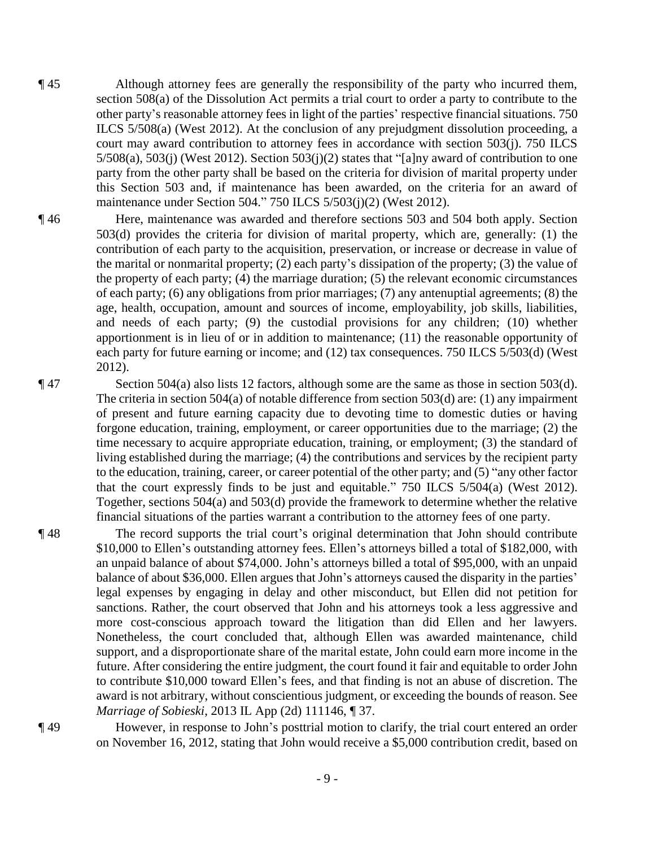- ¶ 45 Although attorney fees are generally the responsibility of the party who incurred them, section 508(a) of the Dissolution Act permits a trial court to order a party to contribute to the other party's reasonable attorney fees in light of the parties' respective financial situations. 750 ILCS 5/508(a) (West 2012). At the conclusion of any prejudgment dissolution proceeding, a court may award contribution to attorney fees in accordance with section 503(j). 750 ILCS  $5/508(a)$ ,  $503(j)$  (West 2012). Section  $503(j)(2)$  states that "[a]ny award of contribution to one party from the other party shall be based on the criteria for division of marital property under this Section 503 and, if maintenance has been awarded, on the criteria for an award of maintenance under Section 504." 750 ILCS 5/503(j)(2) (West 2012).
- ¶ 46 Here, maintenance was awarded and therefore sections 503 and 504 both apply. Section 503(d) provides the criteria for division of marital property, which are, generally: (1) the contribution of each party to the acquisition, preservation, or increase or decrease in value of the marital or nonmarital property; (2) each party's dissipation of the property; (3) the value of the property of each party; (4) the marriage duration; (5) the relevant economic circumstances of each party; (6) any obligations from prior marriages; (7) any antenuptial agreements; (8) the age, health, occupation, amount and sources of income, employability, job skills, liabilities, and needs of each party; (9) the custodial provisions for any children; (10) whether apportionment is in lieu of or in addition to maintenance; (11) the reasonable opportunity of each party for future earning or income; and (12) tax consequences. 750 ILCS 5/503(d) (West 2012).
- ¶ 47 Section 504(a) also lists 12 factors, although some are the same as those in section 503(d). The criteria in section 504(a) of notable difference from section 503(d) are: (1) any impairment of present and future earning capacity due to devoting time to domestic duties or having forgone education, training, employment, or career opportunities due to the marriage; (2) the time necessary to acquire appropriate education, training, or employment; (3) the standard of living established during the marriage; (4) the contributions and services by the recipient party to the education, training, career, or career potential of the other party; and (5) "any other factor that the court expressly finds to be just and equitable."  $750$  ILCS  $5/504(a)$  (West 2012). Together, sections 504(a) and 503(d) provide the framework to determine whether the relative financial situations of the parties warrant a contribution to the attorney fees of one party.
- ¶ 48 The record supports the trial court's original determination that John should contribute \$10,000 to Ellen's outstanding attorney fees. Ellen's attorneys billed a total of \$182,000, with an unpaid balance of about \$74,000. John's attorneys billed a total of \$95,000, with an unpaid balance of about \$36,000. Ellen argues that John's attorneys caused the disparity in the parties' legal expenses by engaging in delay and other misconduct, but Ellen did not petition for sanctions. Rather, the court observed that John and his attorneys took a less aggressive and more cost-conscious approach toward the litigation than did Ellen and her lawyers. Nonetheless, the court concluded that, although Ellen was awarded maintenance, child support, and a disproportionate share of the marital estate, John could earn more income in the future. After considering the entire judgment, the court found it fair and equitable to order John to contribute \$10,000 toward Ellen's fees, and that finding is not an abuse of discretion. The award is not arbitrary, without conscientious judgment, or exceeding the bounds of reason. See *Marriage of Sobieski*, 2013 IL App (2d) 111146, ¶ 37.
- ¶ 49 However, in response to John's posttrial motion to clarify, the trial court entered an order on November 16, 2012, stating that John would receive a \$5,000 contribution credit, based on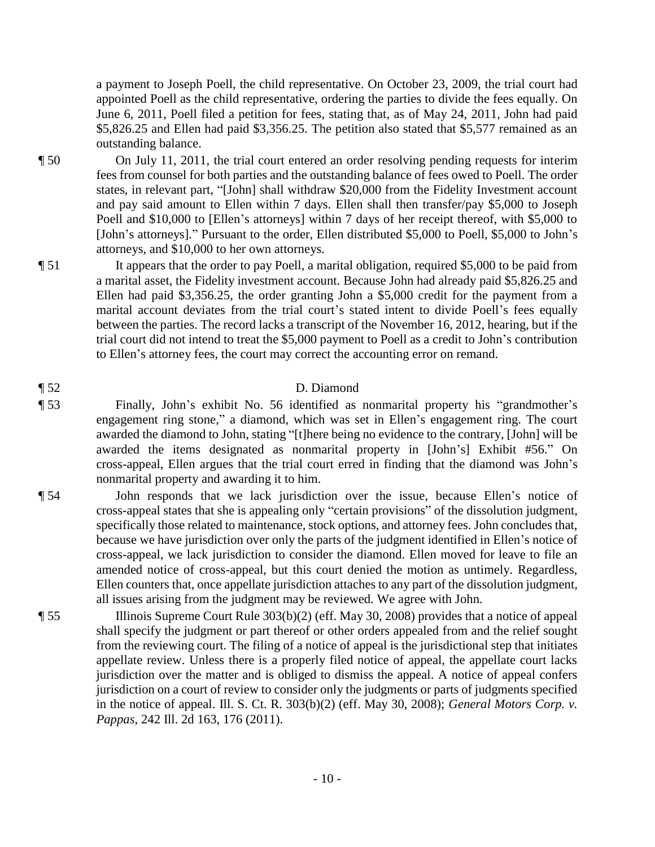a payment to Joseph Poell, the child representative. On October 23, 2009, the trial court had appointed Poell as the child representative, ordering the parties to divide the fees equally. On June 6, 2011, Poell filed a petition for fees, stating that, as of May 24, 2011, John had paid \$5,826.25 and Ellen had paid \$3,356.25. The petition also stated that \$5,577 remained as an outstanding balance.

- ¶ 50 On July 11, 2011, the trial court entered an order resolving pending requests for interim fees from counsel for both parties and the outstanding balance of fees owed to Poell. The order states, in relevant part, "[John] shall withdraw \$20,000 from the Fidelity Investment account and pay said amount to Ellen within 7 days. Ellen shall then transfer/pay \$5,000 to Joseph Poell and \$10,000 to [Ellen's attorneys] within 7 days of her receipt thereof, with \$5,000 to [John's attorneys]." Pursuant to the order, Ellen distributed \$5,000 to Poell, \$5,000 to John's attorneys, and \$10,000 to her own attorneys.
- ¶ 51 It appears that the order to pay Poell, a marital obligation, required \$5,000 to be paid from a marital asset, the Fidelity investment account. Because John had already paid \$5,826.25 and Ellen had paid \$3,356.25, the order granting John a \$5,000 credit for the payment from a marital account deviates from the trial court's stated intent to divide Poell's fees equally between the parties. The record lacks a transcript of the November 16, 2012, hearing, but if the trial court did not intend to treat the \$5,000 payment to Poell as a credit to John's contribution to Ellen's attorney fees, the court may correct the accounting error on remand.

### ¶ 52 D. Diamond

- ¶ 53 Finally, John's exhibit No. 56 identified as nonmarital property his "grandmother's engagement ring stone," a diamond, which was set in Ellen's engagement ring. The court awarded the diamond to John, stating "[t]here being no evidence to the contrary, [John] will be awarded the items designated as nonmarital property in [John's] Exhibit #56." On cross-appeal, Ellen argues that the trial court erred in finding that the diamond was John's nonmarital property and awarding it to him.
- ¶ 54 John responds that we lack jurisdiction over the issue, because Ellen's notice of cross-appeal states that she is appealing only "certain provisions" of the dissolution judgment, specifically those related to maintenance, stock options, and attorney fees. John concludes that, because we have jurisdiction over only the parts of the judgment identified in Ellen's notice of cross-appeal, we lack jurisdiction to consider the diamond. Ellen moved for leave to file an amended notice of cross-appeal, but this court denied the motion as untimely. Regardless, Ellen counters that, once appellate jurisdiction attaches to any part of the dissolution judgment, all issues arising from the judgment may be reviewed. We agree with John.
- ¶ 55 Illinois Supreme Court Rule 303(b)(2) (eff. May 30, 2008) provides that a notice of appeal shall specify the judgment or part thereof or other orders appealed from and the relief sought from the reviewing court. The filing of a notice of appeal is the jurisdictional step that initiates appellate review. Unless there is a properly filed notice of appeal, the appellate court lacks jurisdiction over the matter and is obliged to dismiss the appeal. A notice of appeal confers jurisdiction on a court of review to consider only the judgments or parts of judgments specified in the notice of appeal. Ill. S. Ct. R. 303(b)(2) (eff. May 30, 2008); *General Motors Corp. v. Pappas*, 242 Ill. 2d 163, 176 (2011).